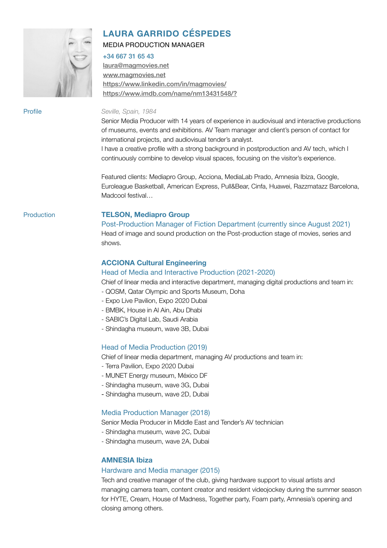

## **LAURA GARRIDO CÉSPEDES**

#### MEDIA PRODUCTION MANAGER

#### +34 667 31 65 43

[laura@magmovies.net](mailto:laura@magmovies.net) [www.magmovies.net](http://www.magmovies.net) <https://www.linkedin.com/in/magmovies/> <https://www.imdb.com/name/nm13431548/?>

#### Profile *Seville, Spain, 1984*

Senior Media Producer with 14 years of experience in audiovisual and interactive productions of museums, events and exhibitions. AV Team manager and client's person of contact for international projects, and audiovisual tender's analyst.

I have a creative profile with a strong background in postproduction and AV tech, which I continuously combine to develop visual spaces, focusing on the visitor's experience.

Featured clients: Mediapro Group, Acciona, MediaLab Prado, Amnesia Ibiza, Google, Euroleague Basketball, American Express, Pull&Bear, Cinfa, Huawei, Razzmatazz Barcelona, Madcool festival…

#### Production **TELSON, Mediapro Group**

Post-Production Manager of Fiction Department (currently since August 2021) Head of image and sound production on the Post-production stage of movies, series and shows.

### **ACCIONA Cultural Engineering**

#### Head of Media and Interactive Production (2021-2020)

Chief of linear media and interactive department, managing digital productions and team in:

- QOSM, Qatar Olympic and Sports Museum, Doha
- Expo Live Pavilion, Expo 2020 Dubai
- BMBK, House in Al Ain, Abu Dhabi
- SABIC's Digital Lab, Saudi Arabia
- Shindagha museum, wave 3B, Dubai

#### Head of Media Production (2019)

Chief of linear media department, managing AV productions and team in:

- Terra Pavilion, Expo 2020 Dubai
- MUNET Energy museum, México DF
- Shindagha museum, wave 3G, Dubai
- Shindagha museum, wave 2D, Dubai

#### Media Production Manager (2018)

Senior Media Producer in Middle East and Tender's AV technician

- Shindagha museum, wave 2C, Dubai
- Shindagha museum, wave 2A, Dubai

#### **AMNESIA Ibiza**

#### Hardware and Media manager (2015)

Tech and creative manager of the club, giving hardware support to visual artists and managing camera team, content creator and resident videojockey during the summer season for HYTE, Cream, House of Madness, Together party, Foam party, Amnesia's opening and closing among others.